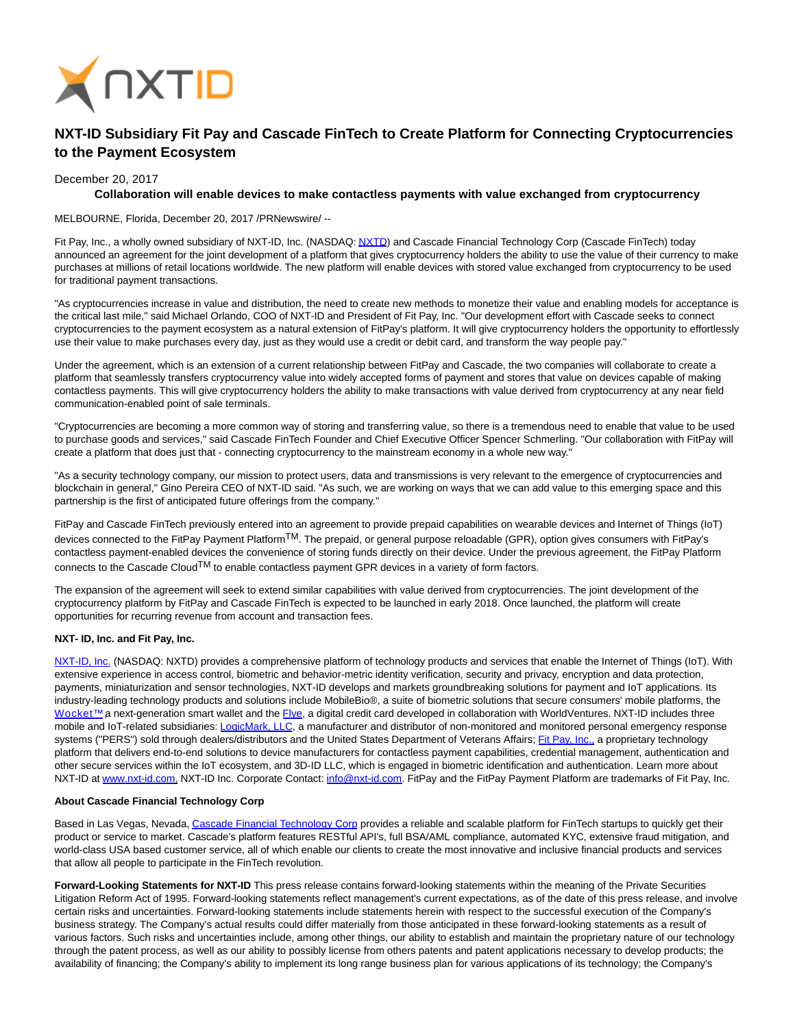

## **NXT-ID Subsidiary Fit Pay and Cascade FinTech to Create Platform for Connecting Cryptocurrencies to the Payment Ecosystem**

December 20, 2017

## **Collaboration will enable devices to make contactless payments with value exchanged from cryptocurrency**

MELBOURNE, Florida, December 20, 2017 /PRNewswire/ --

Fit Pay, Inc., a wholly owned subsidiary of NXT-ID, Inc. (NASDAQ[: NXTD\)](https://finance.yahoo.com/q?s=nxtd) and Cascade Financial Technology Corp (Cascade FinTech) today announced an agreement for the joint development of a platform that gives cryptocurrency holders the ability to use the value of their currency to make purchases at millions of retail locations worldwide. The new platform will enable devices with stored value exchanged from cryptocurrency to be used for traditional payment transactions.

"As cryptocurrencies increase in value and distribution, the need to create new methods to monetize their value and enabling models for acceptance is the critical last mile," said Michael Orlando, COO of NXT-ID and President of Fit Pay, Inc. "Our development effort with Cascade seeks to connect cryptocurrencies to the payment ecosystem as a natural extension of FitPay's platform. It will give cryptocurrency holders the opportunity to effortlessly use their value to make purchases every day, just as they would use a credit or debit card, and transform the way people pay."

Under the agreement, which is an extension of a current relationship between FitPay and Cascade, the two companies will collaborate to create a platform that seamlessly transfers cryptocurrency value into widely accepted forms of payment and stores that value on devices capable of making contactless payments. This will give cryptocurrency holders the ability to make transactions with value derived from cryptocurrency at any near field communication-enabled point of sale terminals.

"Cryptocurrencies are becoming a more common way of storing and transferring value, so there is a tremendous need to enable that value to be used to purchase goods and services," said Cascade FinTech Founder and Chief Executive Officer Spencer Schmerling. "Our collaboration with FitPay will create a platform that does just that - connecting cryptocurrency to the mainstream economy in a whole new way."

"As a security technology company, our mission to protect users, data and transmissions is very relevant to the emergence of cryptocurrencies and blockchain in general," Gino Pereira CEO of NXT-ID said. "As such, we are working on ways that we can add value to this emerging space and this partnership is the first of anticipated future offerings from the company."

FitPay and Cascade FinTech previously entered into an agreement to provide prepaid capabilities on wearable devices and Internet of Things (IoT) devices connected to the FitPay Payment PlatformTM. The prepaid, or general purpose reloadable (GPR), option gives consumers with FitPay's contactless payment-enabled devices the convenience of storing funds directly on their device. Under the previous agreement, the FitPay Platform connects to the Cascade Cloud<sup>TM</sup> to enable contactless payment GPR devices in a variety of form factors.

The expansion of the agreement will seek to extend similar capabilities with value derived from cryptocurrencies. The joint development of the cryptocurrency platform by FitPay and Cascade FinTech is expected to be launched in early 2018. Once launched, the platform will create opportunities for recurring revenue from account and transaction fees.

## **NXT- ID, Inc. and Fit Pay, Inc.**

[NXT-ID, Inc. \(](http://www.nxt-id.com/)NASDAQ: NXTD) provides a comprehensive platform of technology products and services that enable the Internet of Things (IoT). With extensive experience in access control, biometric and behavior-metric identity verification, security and privacy, encryption and data protection, payments, miniaturization and sensor technologies, NXT-ID develops and markets groundbreaking solutions for payment and IoT applications. Its industry-leading technology products and solutions include MobileBio®, a suite of biometric solutions that secure consumers' mobile platforms, the Wocket™ a next-generation smart wallet and the [Flye,](https://www.flye.com/) a digital credit card developed in collaboration with WorldVentures. NXT-ID includes three mobile and IoT-related subsidiaries: [LogicMark, LLC,](https://www.logicmark.com/) a manufacturer and distributor of non-monitored and monitored personal emergency response systems ("PERS") sold through dealers/distributors and the United States Department of Veterans Affairs; [Fit Pay, Inc., a](http://www.fit-pay.com/) proprietary technology platform that delivers end-to-end solutions to device manufacturers for contactless payment capabilities, credential management, authentication and other secure services within the IoT ecosystem, and 3D-ID LLC, which is engaged in biometric identification and authentication. Learn more about NXT-ID at [www.nxt-id.com.](http://www.nxt-id.com/) NXT-ID Inc. Corporate Contact: [info@nxt-id.com.](mailto:info@nxt-id.com) FitPay and the FitPay Payment Platform are trademarks of Fit Pay, Inc.

## **About Cascade Financial Technology Corp**

Based in Las Vegas, Nevada[, Cascade Financial Technology Corp p](http://www.cascadefintech.com/)rovides a reliable and scalable platform for FinTech startups to quickly get their product or service to market. Cascade's platform features RESTful API's, full BSA/AML compliance, automated KYC, extensive fraud mitigation, and world-class USA based customer service, all of which enable our clients to create the most innovative and inclusive financial products and services that allow all people to participate in the FinTech revolution.

**Forward-Looking Statements for NXT-ID** This press release contains forward-looking statements within the meaning of the Private Securities Litigation Reform Act of 1995. Forward-looking statements reflect management's current expectations, as of the date of this press release, and involve certain risks and uncertainties. Forward-looking statements include statements herein with respect to the successful execution of the Company's business strategy. The Company's actual results could differ materially from those anticipated in these forward-looking statements as a result of various factors. Such risks and uncertainties include, among other things, our ability to establish and maintain the proprietary nature of our technology through the patent process, as well as our ability to possibly license from others patents and patent applications necessary to develop products; the availability of financing; the Company's ability to implement its long range business plan for various applications of its technology; the Company's